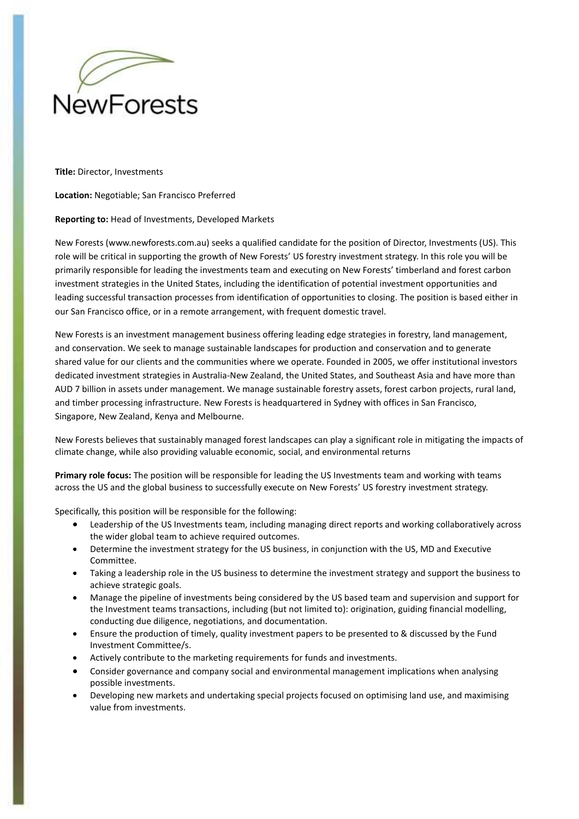

**Title:** Director, Investments

**Location:** Negotiable; San Francisco Preferred

## **Reporting to:** Head of Investments, Developed Markets

New Forests (www.newforests.com.au) seeks a qualified candidate for the position of Director, Investments (US). This role will be critical in supporting the growth of New Forests' US forestry investment strategy. In this role you will be primarily responsible for leading the investments team and executing on New Forests' timberland and forest carbon investment strategies in the United States, including the identification of potential investment opportunities and leading successful transaction processes from identification of opportunities to closing. The position is based either in our San Francisco office, or in a remote arrangement, with frequent domestic travel.

New Forests is an investment management business offering leading edge strategies in forestry, land management, and conservation. We seek to manage sustainable landscapes for production and conservation and to generate shared value for our clients and the communities where we operate. Founded in 2005, we offer institutional investors dedicated investment strategies in Australia‐New Zealand, the United States, and Southeast Asia and have more than AUD 7 billion in assets under management. We manage sustainable forestry assets, forest carbon projects, rural land, and timber processing infrastructure. New Forests is headquartered in Sydney with offices in San Francisco, Singapore, New Zealand, Kenya and Melbourne.

New Forests believes that sustainably managed forest landscapes can play a significant role in mitigating the impacts of climate change, while also providing valuable economic, social, and environmental returns

**Primary role focus:** The position will be responsible for leading the US Investments team and working with teams across the US and the global business to successfully execute on New Forests' US forestry investment strategy.

Specifically, this position will be responsible for the following:

- Leadership of the US Investments team, including managing direct reports and working collaboratively across the wider global team to achieve required outcomes.
- Determine the investment strategy for the US business, in conjunction with the US, MD and Executive Committee.
- Taking a leadership role in the US business to determine the investment strategy and support the business to achieve strategic goals.
- Manage the pipeline of investments being considered by the US based team and supervision and support for the Investment teams transactions, including (but not limited to): origination, guiding financial modelling, conducting due diligence, negotiations, and documentation.
- Ensure the production of timely, quality investment papers to be presented to & discussed by the Fund Investment Committee/s.
- Actively contribute to the marketing requirements for funds and investments.
- Consider governance and company social and environmental management implications when analysing possible investments.
- Developing new markets and undertaking special projects focused on optimising land use, and maximising value from investments.